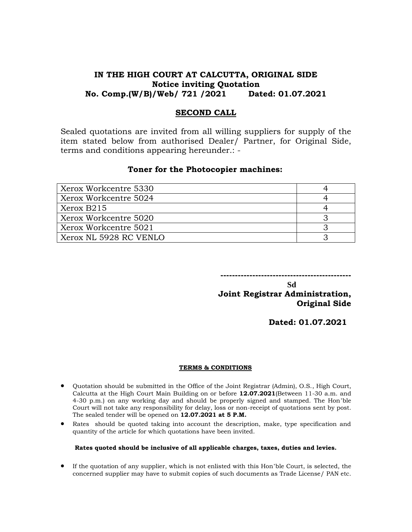# **IN THE HIGH COURT AT CALCUTTA, ORIGINAL SIDE Notice inviting Quotation No. Comp.(W/B)/Web/ 721 /2021 Dated: 01.07.2021**

## **SECOND CALL**

Sealed quotations are invited from all willing suppliers for supply of the item stated below from authorised Dealer/ Partner, for Original Side, terms and conditions appearing hereunder.: -

### **Toner for the Photocopier machines:**

| Xerox Workcentre 5330  |  |
|------------------------|--|
| Xerox Workcentre 5024  |  |
| Xerox B215             |  |
| Xerox Workcentre 5020  |  |
| Xerox Workcentre 5021  |  |
| Xerox NL 5928 RC VENLO |  |

**---------------------------------------------**

 **Sd Joint Registrar Administration, Original Side** 

**Dated: 01.07.2021**

### **TERMS & CONDITIONS**

- Quotation should be submitted in the Office of the Joint Registrar (Admin), O.S., High Court, Calcutta at the High Court Main Building on or before **12.07.2021**(Between 11-30 a.m. and 4-30 p.m.) on any working day and should be properly signed and stamped. The Hon'ble Court will not take any responsibility for delay, loss or non-receipt of quotations sent by post. The sealed tender will be opened on **12.07.2021 at 5 P.M.**
- Rates should be quoted taking into account the description, make, type specification and quantity of the article for which quotations have been invited.

### **Rates quoted should be inclusive of all applicable charges, taxes, duties and levies.**

 If the quotation of any supplier, which is not enlisted with this Hon'ble Court, is selected, the concerned supplier may have to submit copies of such documents as Trade License/ PAN etc.